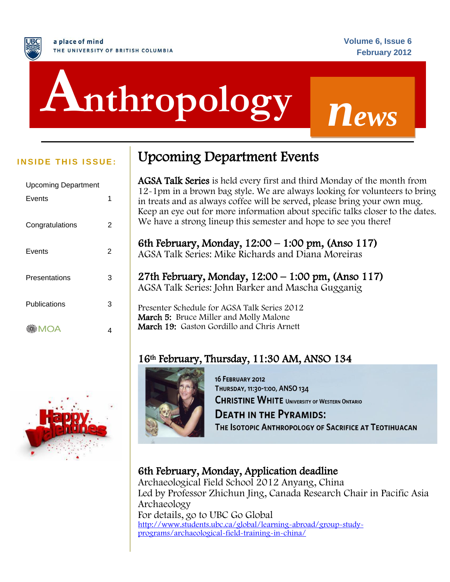# j **Anthropology** *<sup>n</sup>ews*

| 1 |
|---|
|   |
| 2 |
|   |
| 2 |
|   |
| 3 |
|   |
| 3 |
|   |
| 4 |
|   |



# **INSIDE THIS ISSUE:** Upcoming Department Events

**AGSA Talk Series** is held every first and third Monday of the month from 12-1pm in a brown bag style. We are always looking for volunteers to bring in treats and as always coffee will be served, please bring your own mug. Keep an eye out for more information about specific talks closer to the dates. We have a strong lineup this semester and hope to see you there!

6th February, Monday, 12:00 – 1:00 pm, (Anso 117) AGSA Talk Series: Mike Richards and Diana Moreiras

27th February, Monday, 12:00 – 1:00 pm, (Anso 117) AGSA Talk Series: John Barker and Mascha Gugganig

Presenter Schedule for AGSA Talk Series 2012 March 5: Bruce Miller and Molly Malone March 19: Gaston Gordillo and Chris Arnett

# 16th February, Thursday, 11:30 AM, ANSO 134



**16 FEBRUARY 2012** THURSDAY, 11:30-1:00, ANSO 134 **CHRISTINE WHITE UNIVERSITY OF WESTERN ONTARIO DEATH IN THE PYRAMIDS:** 

THE ISOTOPIC ANTHROPOLOGY OF SACRIFICE AT TEOTIHUACAN

# 6th February, Monday, Application deadline

Archaeological Field School 2012 Anyang, China Led by Professor Zhichun Jing, Canada Research Chair in Pacific Asia Archaeology For details, go to UBC Go Global [http://www.students.ubc.ca/global/learning-abroad/group-study](http://www.students.ubc.ca/global/learning-abroad/group-study-programs/archaeological-field-training-in-china/)[programs/archaeological-field-training-in-china/](http://www.students.ubc.ca/global/learning-abroad/group-study-programs/archaeological-field-training-in-china/)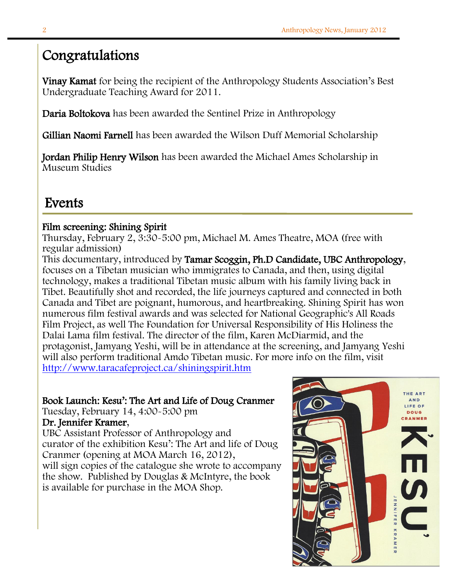# Congratulations

Vinay Kamat for being the recipient of the Anthropology Students Association's Best Undergraduate Teaching Award for 2011.

Daria Boltokova has been awarded the Sentinel Prize in Anthropology

Gillian Naomi Farnell has been awarded the Wilson Duff Memorial Scholarship

Jordan Philip Henry Wilson has been awarded the Michael Ames Scholarship in Museum Studies

# Events

#### I Film screening: Shining Spirit

Thursday, February 2, 3:30-5:00 pm, Michael M. Ames Theatre, MOA (free with regular admission)

This documentary, introduced by Tamar Scoggin, Ph.D Candidate, UBC Anthropology, focuses on a Tibetan musician who immigrates to Canada, and then, using digital technology, makes a traditional Tibetan music album with his family living back in Tibet. Beautifully shot and recorded, the life journeys captured and connected in both Canada and Tibet are poignant, humorous, and heartbreaking. Shining Spirit has won numerous film festival awards and was selected for National Geographic's All Roads Film Project, as well The Foundation for Universal Responsibility of His Holiness the Dalai Lama film festival. The director of the film, Karen McDiarmid, and the protagonist, Jamyang Yeshi, will be in attendance at the screening, and Jamyang Yeshi will also perform traditional Amdo Tibetan music. For more info on the film, visit <http://www.taracafeproject.ca/shiningspirit.htm>

# Book Launch: Kesu': The Art and Life of Doug Cranmer

Tuesday, February 14, 4:00-5:00 pm

# Dr. Jennifer Kramer,

UBC Assistant Professor of Anthropology and curator of the exhibition Kesu': The Art and life of Doug Cranmer (opening at MOA March 16, 2012), will sign copies of the catalogue she wrote to accompany the show. Published by Douglas & McIntyre, the book is available for purchase in the MOA Shop.

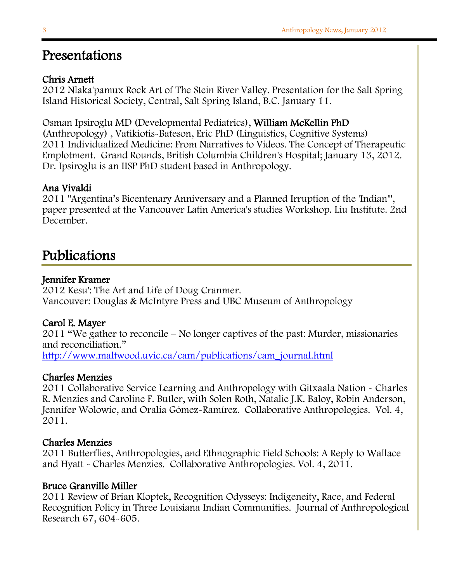# Presentations

# Chris Arnett

2012 Nlaka'pamux Rock Art of The Stein River Valley. Presentation for the Salt Spring Island Historical Society, Central, Salt Spring Island, B.C. January 11.

Osman Ipsiroglu MD (Developmental Pediatrics), William McKellin PhD (Anthropology) , Vatikiotis-Bateson, Eric PhD (Linguistics, Cognitive Systems) 2011 Individualized Medicine: From Narratives to Videos. The Concept of Therapeutic Emplotment. Grand Rounds, British Columbia Children's Hospital; January 13, 2012. Dr. Ipsiroglu is an IISP PhD student based in Anthropology.

# Ana Vivaldi

2011 "Argentina's Bicentenary Anniversary and a Planned Irruption of the 'Indian'", paper presented at the Vancouver Latin America's studies Workshop. Liu Institute. 2nd December.

# Publications

#### Ī Jennifer Kramer

2012 Kesu': The Art and Life of Doug Cranmer. Vancouver: Douglas & McIntyre Press and UBC Museum of Anthropology

#### Carol E. Mayer

2011 "We gather to reconcile – No longer captives of the past: Murder, missionaries and reconciliation."

[http://www.maltwood.uvic.ca/cam/publications/cam\\_journal.html](http://www.maltwood.uvic.ca/cam/publications/cam_journal.html)

# Charles Menzies

2011 Collaborative Service Learning and Anthropology with Gitxaala Nation - Charles R. Menzies and Caroline F. Butler, with Solen Roth, Natalie J.K. Baloy, Robin Anderson, Jennifer Wolowic, and Oralia Gómez-Ramírez. Collaborative Anthropologies. Vol. 4, 2011.

#### Charles Menzies

2011 Butterflies, Anthropologies, and Ethnographic Field Schools: A Reply to Wallace and Hyatt - Charles Menzies. Collaborative Anthropologies. Vol. 4, 2011.

#### Bruce Granville Miller

2011 Review of Brian Kloptek, Recognition Odysseys: Indigeneity, Race, and Federal Recognition Policy in Three Louisiana Indian Communities. Journal of Anthropological Research 67, 604-605.